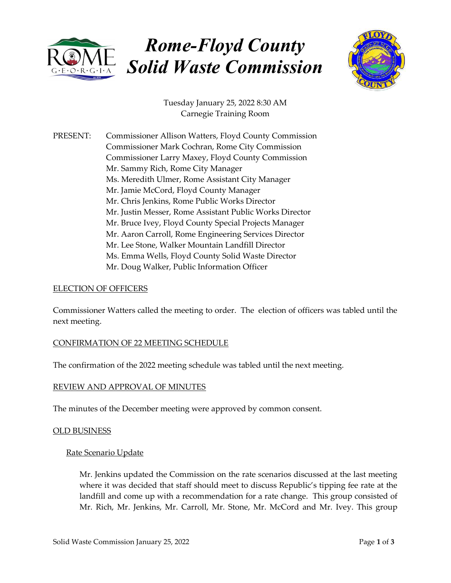

# Rome-Floyd County Solid Waste Commission



Tuesday January 25, 2022 8:30 AM Carnegie Training Room

PRESENT: Commissioner Allison Watters, Floyd County Commission Commissioner Mark Cochran, Rome City Commission Commissioner Larry Maxey, Floyd County Commission Mr. Sammy Rich, Rome City Manager Ms. Meredith Ulmer, Rome Assistant City Manager Mr. Jamie McCord, Floyd County Manager Mr. Chris Jenkins, Rome Public Works Director Mr. Justin Messer, Rome Assistant Public Works Director Mr. Bruce Ivey, Floyd County Special Projects Manager Mr. Aaron Carroll, Rome Engineering Services Director Mr. Lee Stone, Walker Mountain Landfill Director Ms. Emma Wells, Floyd County Solid Waste Director Mr. Doug Walker, Public Information Officer

## ELECTION OF OFFICERS

Commissioner Watters called the meeting to order. The election of officers was tabled until the next meeting.

## CONFIRMATION OF 22 MEETING SCHEDULE

The confirmation of the 2022 meeting schedule was tabled until the next meeting.

#### REVIEW AND APPROVAL OF MINUTES

The minutes of the December meeting were approved by common consent.

#### OLD BUSINESS

#### Rate Scenario Update

Mr. Jenkins updated the Commission on the rate scenarios discussed at the last meeting where it was decided that staff should meet to discuss Republic's tipping fee rate at the landfill and come up with a recommendation for a rate change. This group consisted of Mr. Rich, Mr. Jenkins, Mr. Carroll, Mr. Stone, Mr. McCord and Mr. Ivey. This group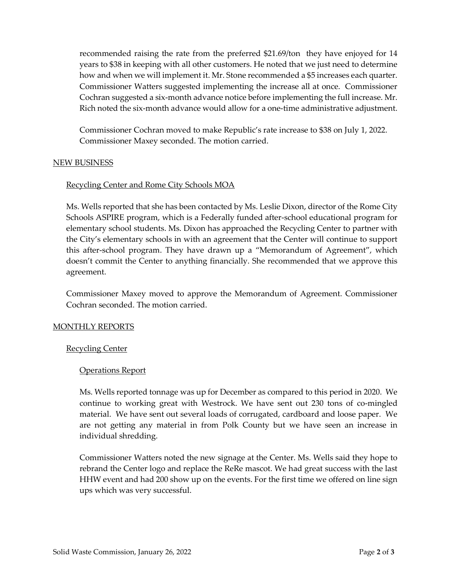recommended raising the rate from the preferred \$21.69/ton they have enjoyed for 14 years to \$38 in keeping with all other customers. He noted that we just need to determine how and when we will implement it. Mr. Stone recommended a \$5 increases each quarter. Commissioner Watters suggested implementing the increase all at once. Commissioner Cochran suggested a six-month advance notice before implementing the full increase. Mr. Rich noted the six-month advance would allow for a one-time administrative adjustment.

Commissioner Cochran moved to make Republic's rate increase to \$38 on July 1, 2022. Commissioner Maxey seconded. The motion carried.

### NEW BUSINESS

## Recycling Center and Rome City Schools MOA

Ms. Wells reported that she has been contacted by Ms. Leslie Dixon, director of the Rome City Schools ASPIRE program, which is a Federally funded after-school educational program for elementary school students. Ms. Dixon has approached the Recycling Center to partner with the City's elementary schools in with an agreement that the Center will continue to support this after-school program. They have drawn up a "Memorandum of Agreement", which doesn't commit the Center to anything financially. She recommended that we approve this agreement.

Commissioner Maxey moved to approve the Memorandum of Agreement. Commissioner Cochran seconded. The motion carried.

## MONTHLY REPORTS

#### Recycling Center

## Operations Report

Ms. Wells reported tonnage was up for December as compared to this period in 2020. We continue to working great with Westrock. We have sent out 230 tons of co-mingled material. We have sent out several loads of corrugated, cardboard and loose paper. We are not getting any material in from Polk County but we have seen an increase in individual shredding.

Commissioner Watters noted the new signage at the Center. Ms. Wells said they hope to rebrand the Center logo and replace the ReRe mascot. We had great success with the last HHW event and had 200 show up on the events. For the first time we offered on line sign ups which was very successful.